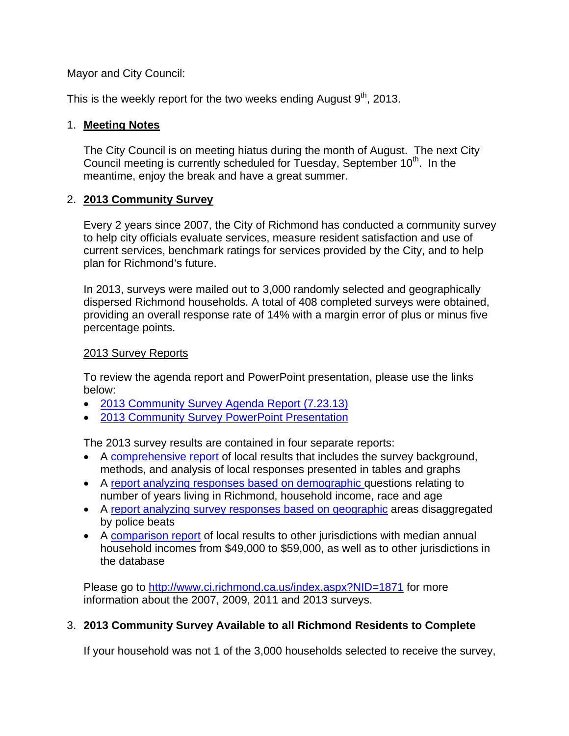Mayor and City Council:

This is the weekly report for the two weeks ending August  $9<sup>th</sup>$ , 2013.

#### 1. **Meeting Notes**

The City Council is on meeting hiatus during the month of August. The next City Council meeting is currently scheduled for Tuesday, September 10<sup>th</sup>. In the meantime, enjoy the break and have a great summer.

#### 2. **2013 Community Survey**

Every 2 years since 2007, the City of Richmond has conducted a community survey to help city officials evaluate services, measure resident satisfaction and use of current services, benchmark ratings for services provided by the City, and to help plan for Richmond's future.

In 2013, surveys were mailed out to 3,000 randomly selected and geographically dispersed Richmond households. A total of 408 completed surveys were obtained, providing an overall response rate of 14% with a margin error of plus or minus five percentage points.

#### 2013 Survey Reports

To review the agenda report and PowerPoint presentation, please use the links below:

- 2013 Community Survey Agenda Report (7.23.13)
- 2013 Community Survey PowerPoint Presentation

The 2013 survey results are contained in four separate reports:

- A comprehensive report of local results that includes the survey background, methods, and analysis of local responses presented in tables and graphs
- A report analyzing responses based on demographic questions relating to number of years living in Richmond, household income, race and age
- A report analyzing survey responses based on geographic areas disaggregated by police beats
- A comparison report of local results to other jurisdictions with median annual household incomes from \$49,000 to \$59,000, as well as to other jurisdictions in the database

Please go to http://www.ci.richmond.ca.us/index.aspx?NID=1871 for more information about the 2007, 2009, 2011 and 2013 surveys.

# 3. **2013 Community Survey Available to all Richmond Residents to Complete**

If your household was not 1 of the 3,000 households selected to receive the survey,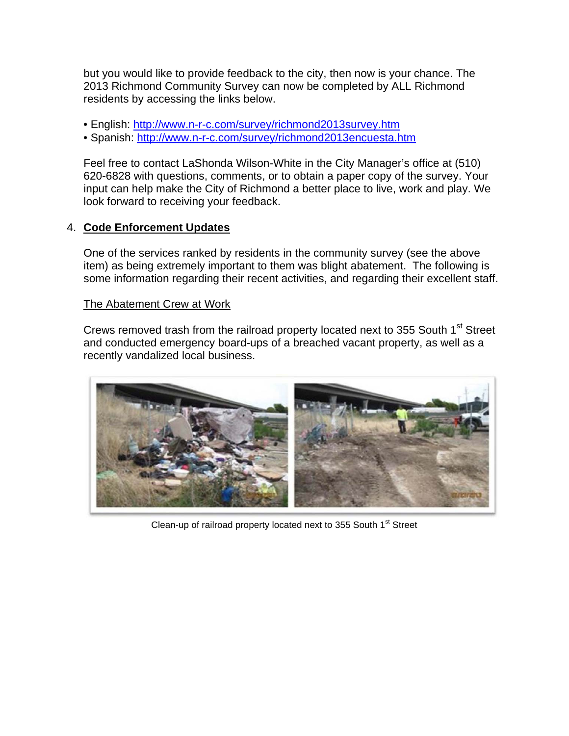but you would like to provide feedback to the city, then now is your chance. The 2013 Richmond Community Survey can now be completed by ALL Richmond residents by accessing the links below.

- English: http://www.n-r-c.com/survey/richmond2013survey.htm
- Spanish: http://www.n-r-c.com/survey/richmond2013encuesta.htm

Feel free to contact LaShonda Wilson-White in the City Manager's office at (510) 620-6828 with questions, comments, or to obtain a paper copy of the survey. Your input can help make the City of Richmond a better place to live, work and play. We look forward to receiving your feedback.

#### 4. **Code Enforcement Updates**

One of the services ranked by residents in the community survey (see the above item) as being extremely important to them was blight abatement. The following is some information regarding their recent activities, and regarding their excellent staff.

#### The Abatement Crew at Work

Crews removed trash from the railroad property located next to 355 South 1<sup>st</sup> Street and conducted emergency board-ups of a breached vacant property, as well as a recently vandalized local business.



Clean-up of railroad property located next to 355 South 1<sup>st</sup> Street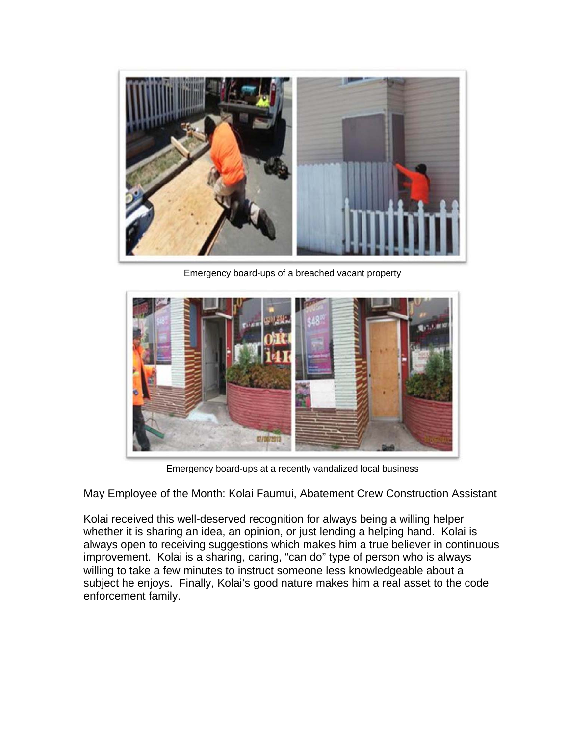

Emergency board-ups of a breached vacant property



Emergency board-ups at a recently vandalized local business

# May Employee of the Month: Kolai Faumui, Abatement Crew Construction Assistant

Kolai received this well-deserved recognition for always being a willing helper whether it is sharing an idea, an opinion, or just lending a helping hand. Kolai is always open to receiving suggestions which makes him a true believer in continuous improvement. Kolai is a sharing, caring, "can do" type of person who is always willing to take a few minutes to instruct someone less knowledgeable about a subject he enjoys. Finally, Kolai's good nature makes him a real asset to the code enforcement family.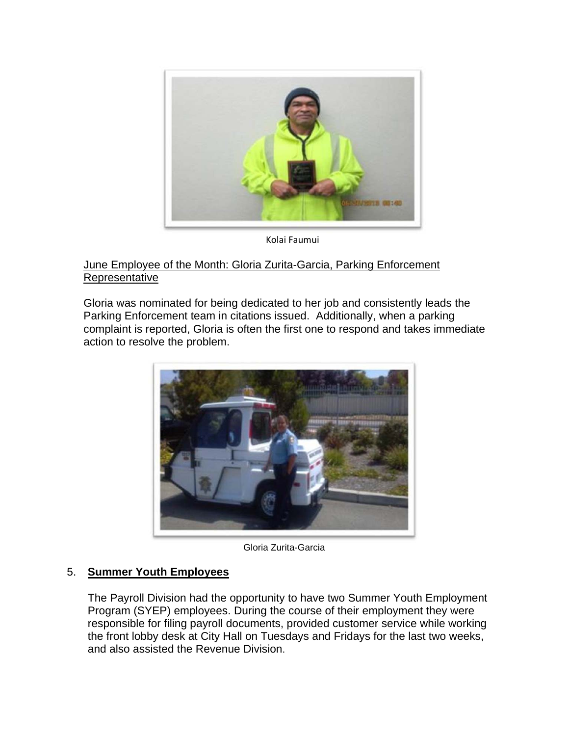

Kolai Faumui

### June Employee of the Month: Gloria Zurita-Garcia, Parking Enforcement Representative

Gloria was nominated for being dedicated to her job and consistently leads the Parking Enforcement team in citations issued. Additionally, when a parking complaint is reported, Gloria is often the first one to respond and takes immediate action to resolve the problem.



Gloria Zurita-Garcia

# 5. **Summer Youth Employees**

The Payroll Division had the opportunity to have two Summer Youth Employment Program (SYEP) employees. During the course of their employment they were responsible for filing payroll documents, provided customer service while working the front lobby desk at City Hall on Tuesdays and Fridays for the last two weeks, and also assisted the Revenue Division.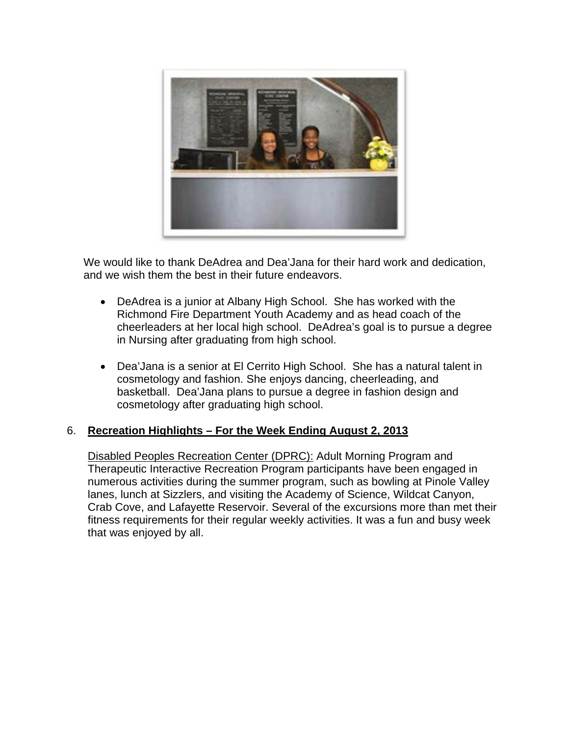

We would like to thank DeAdrea and Dea'Jana for their hard work and dedication, and we wish them the best in their future endeavors.

- DeAdrea is a junior at Albany High School. She has worked with the Richmond Fire Department Youth Academy and as head coach of the cheerleaders at her local high school. DeAdrea's goal is to pursue a degree in Nursing after graduating from high school.
- Dea'Jana is a senior at El Cerrito High School. She has a natural talent in cosmetology and fashion. She enjoys dancing, cheerleading, and basketball. Dea'Jana plans to pursue a degree in fashion design and cosmetology after graduating high school.

# 6. **Recreation Highlights – For the Week Ending August 2, 2013**

Disabled Peoples Recreation Center (DPRC): Adult Morning Program and Therapeutic Interactive Recreation Program participants have been engaged in numerous activities during the summer program, such as bowling at Pinole Valley lanes, lunch at Sizzlers, and visiting the Academy of Science, Wildcat Canyon, Crab Cove, and Lafayette Reservoir. Several of the excursions more than met their fitness requirements for their regular weekly activities. It was a fun and busy week that was enjoyed by all.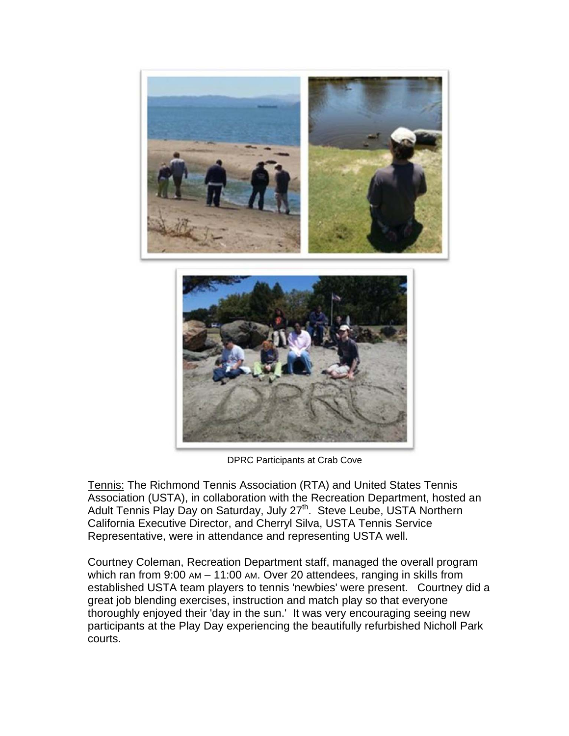

DPRC Participants at Crab Cove

Tennis: The Richmond Tennis Association (RTA) and United States Tennis Association (USTA), in collaboration with the Recreation Department, hosted an Adult Tennis Play Day on Saturday, July 27<sup>th</sup>. Steve Leube, USTA Northern California Executive Director, and Cherryl Silva, USTA Tennis Service Representative, were in attendance and representing USTA well.

Courtney Coleman, Recreation Department staff, managed the overall program which ran from 9:00 AM – 11:00 AM. Over 20 attendees, ranging in skills from established USTA team players to tennis 'newbies' were present. Courtney did a great job blending exercises, instruction and match play so that everyone thoroughly enjoyed their 'day in the sun.' It was very encouraging seeing new participants at the Play Day experiencing the beautifully refurbished Nicholl Park courts.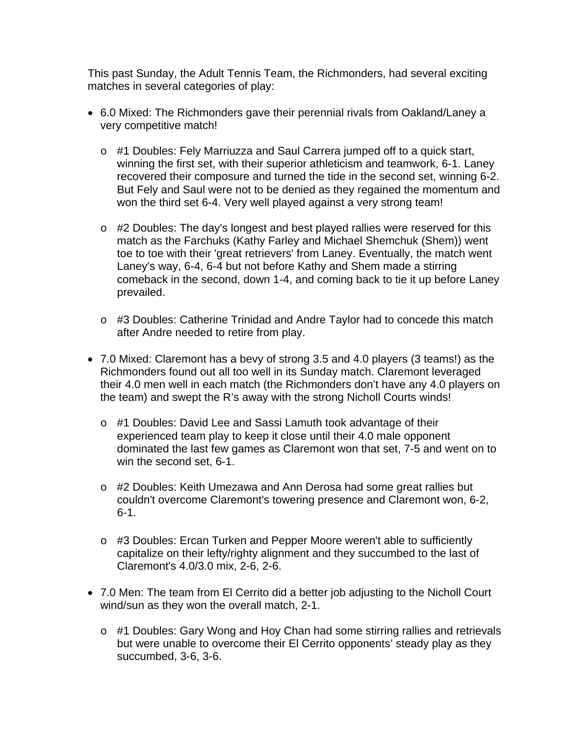This past Sunday, the Adult Tennis Team, the Richmonders, had several exciting matches in several categories of play:

- 6.0 Mixed: The Richmonders gave their perennial rivals from Oakland/Laney a very competitive match!
	- o #1 Doubles: Fely Marriuzza and Saul Carrera jumped off to a quick start, winning the first set, with their superior athleticism and teamwork, 6-1. Laney recovered their composure and turned the tide in the second set, winning 6-2. But Fely and Saul were not to be denied as they regained the momentum and won the third set 6-4. Very well played against a very strong team!
	- o #2 Doubles: The day's longest and best played rallies were reserved for this match as the Farchuks (Kathy Farley and Michael Shemchuk (Shem)) went toe to toe with their 'great retrievers' from Laney. Eventually, the match went Laney's way, 6-4, 6-4 but not before Kathy and Shem made a stirring comeback in the second, down 1-4, and coming back to tie it up before Laney prevailed.
	- o #3 Doubles: Catherine Trinidad and Andre Taylor had to concede this match after Andre needed to retire from play.
- 7.0 Mixed: Claremont has a bevy of strong 3.5 and 4.0 players (3 teams!) as the Richmonders found out all too well in its Sunday match. Claremont leveraged their 4.0 men well in each match (the Richmonders don't have any 4.0 players on the team) and swept the R's away with the strong Nicholl Courts winds!
	- o #1 Doubles: David Lee and Sassi Lamuth took advantage of their experienced team play to keep it close until their 4.0 male opponent dominated the last few games as Claremont won that set, 7-5 and went on to win the second set, 6-1.
	- o #2 Doubles: Keith Umezawa and Ann Derosa had some great rallies but couldn't overcome Claremont's towering presence and Claremont won, 6-2, 6-1.
	- o #3 Doubles: Ercan Turken and Pepper Moore weren't able to sufficiently capitalize on their lefty/righty alignment and they succumbed to the last of Claremont's 4.0/3.0 mix, 2-6, 2-6.
- 7.0 Men: The team from El Cerrito did a better job adjusting to the Nicholl Court wind/sun as they won the overall match, 2-1.
	- o #1 Doubles: Gary Wong and Hoy Chan had some stirring rallies and retrievals but were unable to overcome their El Cerrito opponents' steady play as they succumbed, 3-6, 3-6.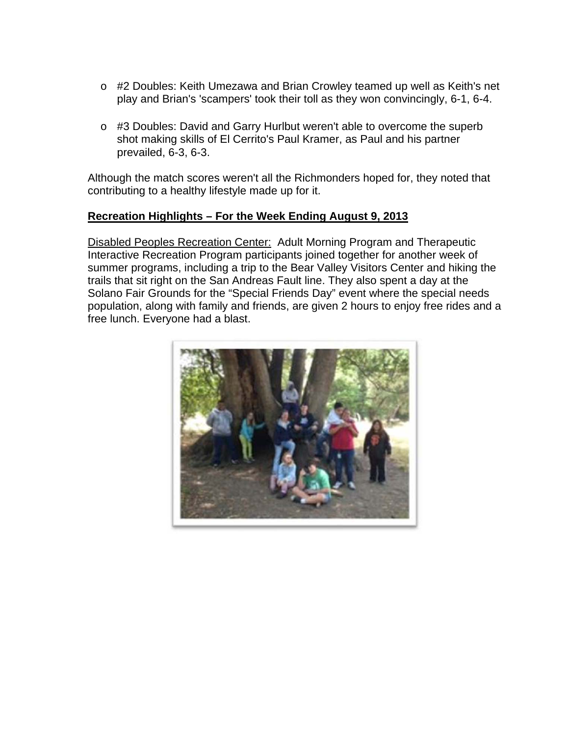- o #2 Doubles: Keith Umezawa and Brian Crowley teamed up well as Keith's net play and Brian's 'scampers' took their toll as they won convincingly, 6-1, 6-4.
- o #3 Doubles: David and Garry Hurlbut weren't able to overcome the superb shot making skills of El Cerrito's Paul Kramer, as Paul and his partner prevailed, 6-3, 6-3.

Although the match scores weren't all the Richmonders hoped for, they noted that contributing to a healthy lifestyle made up for it.

#### **Recreation Highlights – For the Week Ending August 9, 2013**

Disabled Peoples Recreation Center: Adult Morning Program and Therapeutic Interactive Recreation Program participants joined together for another week of summer programs, including a trip to the Bear Valley Visitors Center and hiking the trails that sit right on the San Andreas Fault line. They also spent a day at the Solano Fair Grounds for the "Special Friends Day" event where the special needs population, along with family and friends, are given 2 hours to enjoy free rides and a free lunch. Everyone had a blast.

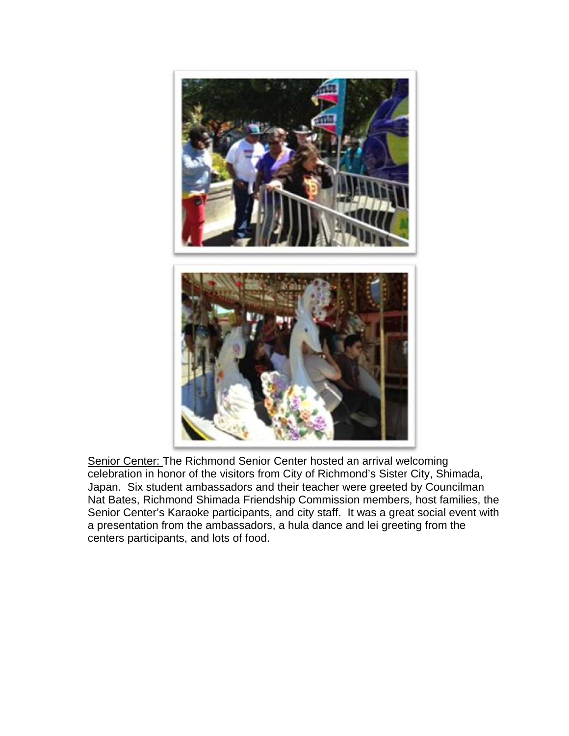

Senior Center: The Richmond Senior Center hosted an arrival welcoming celebration in honor of the visitors from City of Richmond's Sister City, Shimada, Japan. Six student ambassadors and their teacher were greeted by Councilman Nat Bates, Richmond Shimada Friendship Commission members, host families, the Senior Center's Karaoke participants, and city staff. It was a great social event with a presentation from the ambassadors, a hula dance and lei greeting from the centers participants, and lots of food.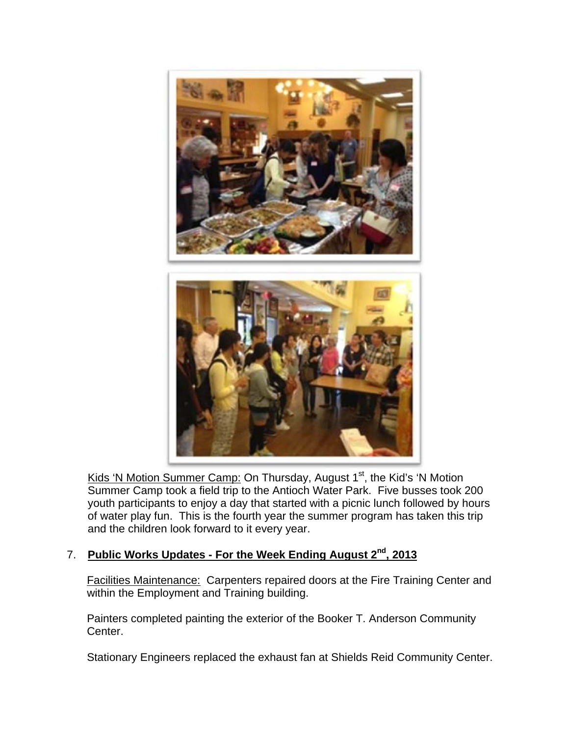

Kids 'N Motion Summer Camp: On Thursday, August 1<sup>st</sup>, the Kid's 'N Motion Summer Camp took a field trip to the Antioch Water Park. Five busses took 200 youth participants to enjoy a day that started with a picnic lunch followed by hours of water play fun. This is the fourth year the summer program has taken this trip and the children look forward to it every year.

# 7. **Public Works Updates - For the Week Ending August 2nd, 2013**

Facilities Maintenance: Carpenters repaired doors at the Fire Training Center and within the Employment and Training building.

Painters completed painting the exterior of the Booker T. Anderson Community Center.

Stationary Engineers replaced the exhaust fan at Shields Reid Community Center.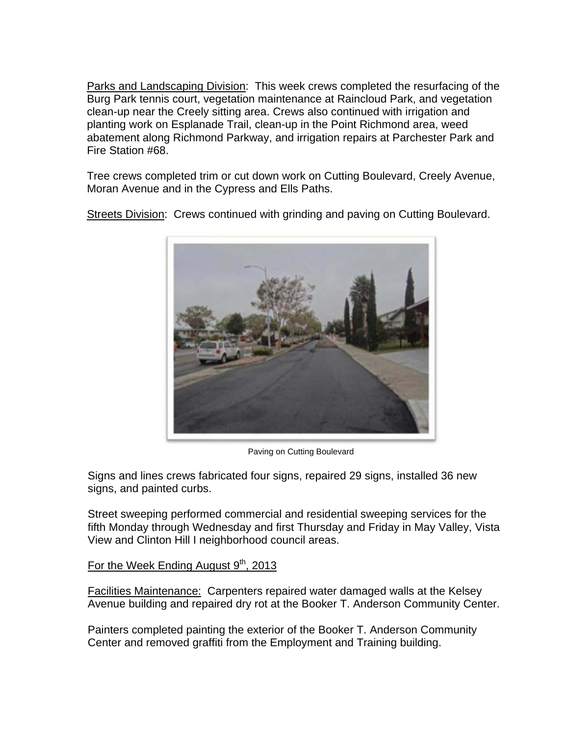Parks and Landscaping Division: This week crews completed the resurfacing of the Burg Park tennis court, vegetation maintenance at Raincloud Park, and vegetation clean-up near the Creely sitting area. Crews also continued with irrigation and planting work on Esplanade Trail, clean-up in the Point Richmond area, weed abatement along Richmond Parkway, and irrigation repairs at Parchester Park and Fire Station #68.

Tree crews completed trim or cut down work on Cutting Boulevard, Creely Avenue, Moran Avenue and in the Cypress and Ells Paths.

Streets Division: Crews continued with grinding and paving on Cutting Boulevard.



Paving on Cutting Boulevard

Signs and lines crews fabricated four signs, repaired 29 signs, installed 36 new signs, and painted curbs.

Street sweeping performed commercial and residential sweeping services for the fifth Monday through Wednesday and first Thursday and Friday in May Valley, Vista View and Clinton Hill I neighborhood council areas.

For the Week Ending August  $9<sup>th</sup>$ , 2013

Facilities Maintenance: Carpenters repaired water damaged walls at the Kelsey Avenue building and repaired dry rot at the Booker T. Anderson Community Center.

Painters completed painting the exterior of the Booker T. Anderson Community Center and removed graffiti from the Employment and Training building.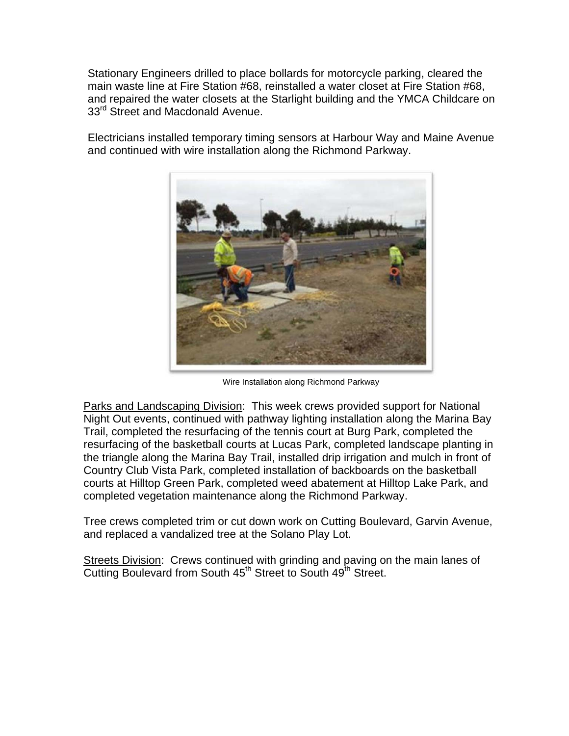Stationary Engineers drilled to place bollards for motorcycle parking, cleared the main waste line at Fire Station #68, reinstalled a water closet at Fire Station #68, and repaired the water closets at the Starlight building and the YMCA Childcare on 33<sup>rd</sup> Street and Macdonald Avenue.

Electricians installed temporary timing sensors at Harbour Way and Maine Avenue and continued with wire installation along the Richmond Parkway.



Wire Installation along Richmond Parkway

Parks and Landscaping Division: This week crews provided support for National Night Out events, continued with pathway lighting installation along the Marina Bay Trail, completed the resurfacing of the tennis court at Burg Park, completed the resurfacing of the basketball courts at Lucas Park, completed landscape planting in the triangle along the Marina Bay Trail, installed drip irrigation and mulch in front of Country Club Vista Park, completed installation of backboards on the basketball courts at Hilltop Green Park, completed weed abatement at Hilltop Lake Park, and completed vegetation maintenance along the Richmond Parkway.

Tree crews completed trim or cut down work on Cutting Boulevard, Garvin Avenue, and replaced a vandalized tree at the Solano Play Lot.

Streets Division: Crews continued with grinding and paving on the main lanes of Cutting Boulevard from South 45<sup>th</sup> Street to South 49<sup>th</sup> Street.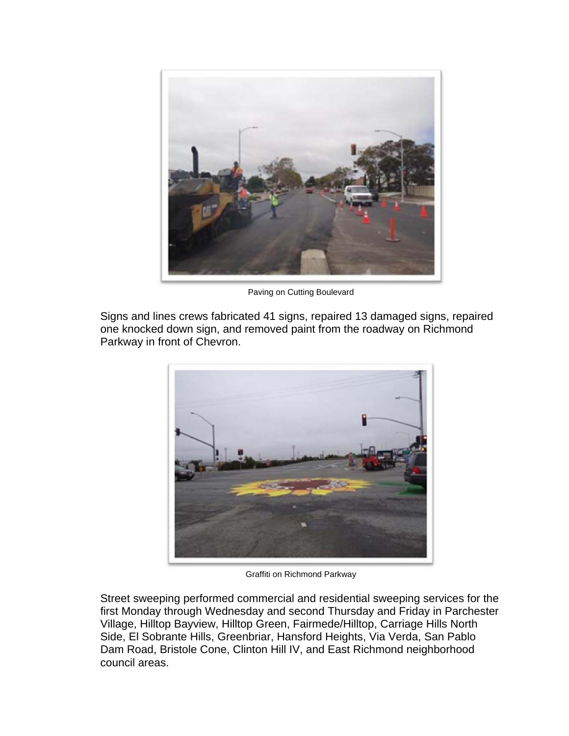

Paving on Cutting Boulevard

Signs and lines crews fabricated 41 signs, repaired 13 damaged signs, repaired one knocked down sign, and removed paint from the roadway on Richmond Parkway in front of Chevron.



Graffiti on Richmond Parkway

Street sweeping performed commercial and residential sweeping services for the first Monday through Wednesday and second Thursday and Friday in Parchester Village, Hilltop Bayview, Hilltop Green, Fairmede/Hilltop, Carriage Hills North Side, El Sobrante Hills, Greenbriar, Hansford Heights, Via Verda, San Pablo Dam Road, Bristole Cone, Clinton Hill IV, and East Richmond neighborhood council areas.